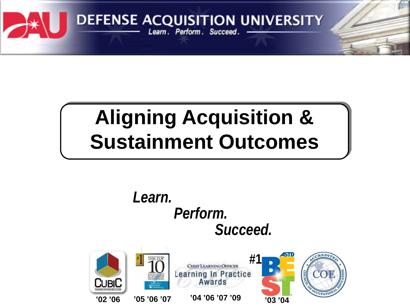

# **Aligning Acquisition & Sustainment Outcomes**

*Learn. Perform. Succeed.* **RED #1** CHIEF LEARNING OFFICER Learning In Practice<br>Awards CubiC **'02 '06 '04 '06 '07 '09 '03 '04'05 '06 '07**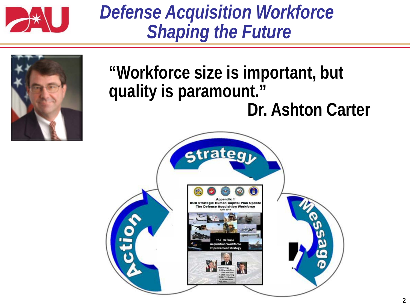

## *Defense Acquisition Workforce Shaping the Future*



### **"Workforce size is important, but quality is paramount." Dr. Ashton Carter**

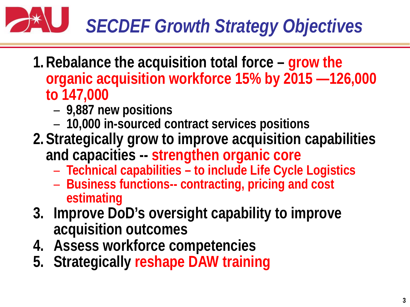

- **1.Rebalance the acquisition total force – grow the organic acquisition workforce 15% by 2015 —126,000 to 147,000**
	- **9,887 new positions**
	- **10,000 in-sourced contract services positions**
- **2.Strategically grow to improve acquisition capabilities and capacities -- strengthen organic core** 
	- **Technical capabilities – to include Life Cycle Logistics**
	- **Business functions-- contracting, pricing and cost estimating**
- **3. Improve DoD's oversight capability to improve acquisition outcomes**
- **4. Assess workforce competencies**
- **5. Strategically reshape DAW training**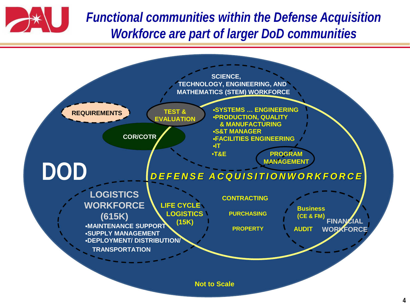

*Functional communities within the Defense Acquisition Workforce are part of larger DoD communities*

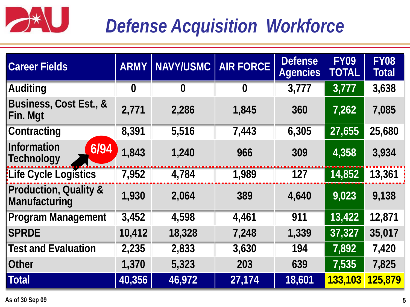

# *Defense Acquisition Workforce*

| <b>Career Fields</b>                              | <b>ARMY</b> | <b>NAVY/USMC</b> | <b>AIR FORCE</b> | <b>Defense</b><br><b>Agencies</b> | <b>FY09</b><br><b>TOTAL</b> | <b>FY08</b><br><b>Total</b> |
|---------------------------------------------------|-------------|------------------|------------------|-----------------------------------|-----------------------------|-----------------------------|
| <b>Auditing</b>                                   | $\bf{0}$    | $\bf{0}$         | $\bf{0}$         | 3,777                             | 3,777                       | 3,638                       |
| Business, Cost Est., &<br>Fin. Mgt                | 2,771       | 2,286            | 1,845            | 360                               | 7,262                       | 7,085                       |
| <b>Contracting</b>                                | 8,391       | 5,516            | 7,443            | 6,305                             | 27,655                      | 25,680                      |
| <b>Information</b><br>6/94<br>Technology          | 1,843       | 1,240            | 966              | 309                               | 4,358                       | 3,934                       |
| <b>ELife Cycle Logistics</b>                      | 7,952       | 4,784            | 1,989            | 127                               | 14,852                      | 13,361                      |
| <b>Production, Quality &amp;</b><br>Manufacturing | 1,930       | 2,064            | 389              | 4,640                             | 9,023                       | 9,138                       |
| <b>Program Management</b>                         | 3,452       | 4,598            | 4,461            | 911                               | 13,422                      | 12,871                      |
| <b>SPRDE</b>                                      | 10,412      | 18,328           | 7,248            | 1,339                             | 37,327                      | 35,017                      |
| <b>Test and Evaluation</b>                        | 2,235       | 2,833            | 3,630            | 194                               | 7,892                       | 7,420                       |
| <b>Other</b>                                      | 1,370       | 5,323            | 203              | 639                               | 7,535                       | 7,825                       |
| <b>Total</b>                                      | 40,356      | 46,972           | 27,174           | 18,601                            | 133,103                     | 125,879                     |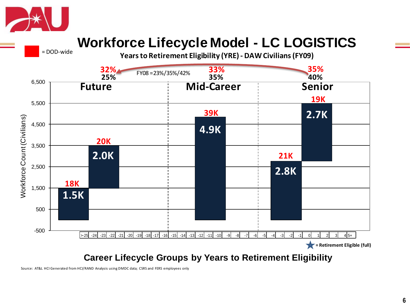

= DOD-wide

#### **Workforce Lifecycle Model - LC LOGISTICS**

**Years to Retirement Eligibility (YRE) - DAW Civilians (FY09)**



Source: AT&L HCI Generated from HCI/RAND Analysis using DMDC data; CSRS and FERS employees only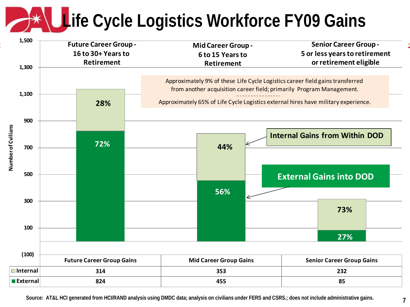# **Life Cycle Logistics Workforce FY09 Gains**



**Source: AT&L HCI generated from HCI/RAND analysis using DMDC data; analysis on civilians under FERS and CSRS.; does not include administrative gains.**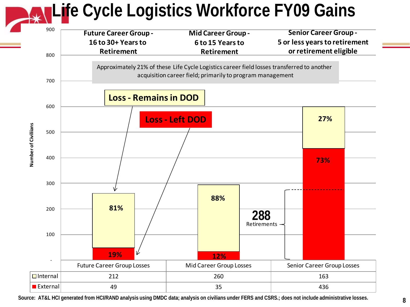## **Life Cycle Logistics Workforce FY09 Gains**



**Source: AT&L HCI generated from HCI/RAND analysis using DMDC data; analysis on civilians under FERS and CSRS.; does not include administrative losses.**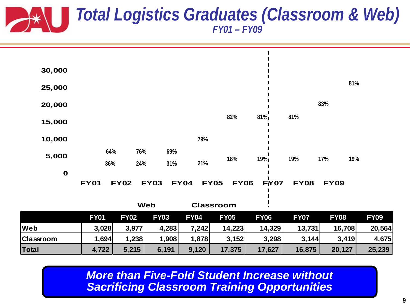#### *Total Logistics Graduates (Classroom & Web) FY01 – FY09*

| Classroom<br>Total | 1,694<br>4,722 | 1,238<br>5,215 | 1,908<br>6,191 | 1,878<br>9,120 | 3,152<br>17,375            | 3,298<br>17,627 | 3,144<br>16,875 | 3,419<br>20,127 | 4,675<br>25,239 |
|--------------------|----------------|----------------|----------------|----------------|----------------------------|-----------------|-----------------|-----------------|-----------------|
| Web                | 3,028          | 3,977          | 4,283          | 7,242          | 14,223                     | 14,329          | 13,731          | 16,708          | 20,564          |
|                    | <b>FY01</b>    | <b>FY02</b>    | <b>FY03</b>    | <b>FY04</b>    | <b>FY05</b>                | <b>FY06</b>     | <b>FY07</b>     | <b>FY08</b>     | <b>FY09</b>     |
|                    |                |                | <b>Web</b>     |                | <b>Classroom</b>           |                 |                 |                 |                 |
|                    | <b>FY01</b>    | <b>FY02</b>    | <b>FY03</b>    | <b>FY04</b>    | <b>FY05</b><br><b>FY06</b> | <b>FY07</b>     | <b>FY08</b>     | <b>FY09</b>     |                 |
| $\mathbf 0$        |                |                |                |                |                            |                 |                 |                 |                 |
| 5,000              | 36%            | 24%            | 31%            | 21%            | 18%                        | 19%             | 19%             | 17%<br>19%      |                 |
|                    | 64%            | 76%            | 69%            |                |                            |                 |                 |                 |                 |
| 10,000             |                |                |                | 79%            |                            |                 |                 |                 |                 |
| 15,000             |                |                |                |                | 82%                        | 81%             | 81%             |                 |                 |
| 20,000             |                |                |                |                |                            |                 |                 | 83%             |                 |
| 25,000             |                |                |                |                |                            |                 |                 | 81%             |                 |
| 30,000             |                |                |                |                |                            |                 |                 |                 |                 |
|                    |                |                |                |                |                            |                 |                 |                 |                 |

*More than Five-Fold Student Increase without Sacrificing Classroom Training Opportunities*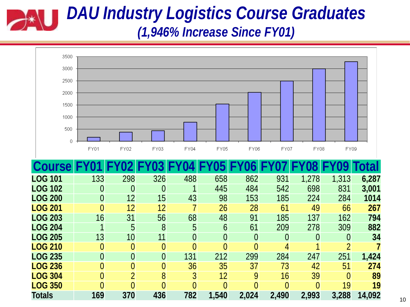#### *DAU Industry Logistics Course Graduates (1,946% Increase Since FY01)*



**LOG 236** 0 0 0 36 35 37 73 42 51 **274 LOG 304** 0 2 8 3 12 9 16 39 0 **89 LOG 350** 0 0 0 0 0 0 0 0 19 **19 Totals 169 370 436 782 1,540 2,024 2,490 2,993 3,288 14,092**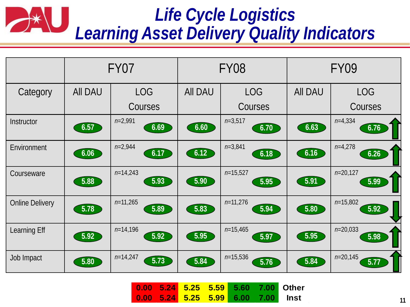#### *Life Cycle Logistics*  $\rightarrow$ *Learning Asset Delivery Quality Indicators*

|                        | FY07           |                    |                | <b>FY08</b>        | <b>FY09</b>    |                                 |  |
|------------------------|----------------|--------------------|----------------|--------------------|----------------|---------------------------------|--|
| Category               | <b>All DAU</b> | <b>LOG</b>         | <b>All DAU</b> | <b>LOG</b>         | <b>AII DAU</b> | <b>LOG</b>                      |  |
|                        |                | <b>Courses</b>     |                | Courses            |                | Courses                         |  |
| Instructor             | 6.57           | $n=2,991$<br>6.69  | 6.60           | $n=3,517$<br>6.70  | 6.63           | $n=4,334$<br>6.76               |  |
| Environment            | 6.06           | $n=2,944$<br>6.17  | 6.12           | $n=3,841$<br>6.18  | 6.16           | $n=4,278$<br>6.26               |  |
| Courseware             | 5.88           | $n=14,243$<br>5.93 | 5.90           | $n=15,527$<br>5.95 | 5.91           | $n=20,127$<br>5.99              |  |
| <b>Online Delivery</b> | 5.78           | $n=11,265$<br>5.89 | 5.83           | $n=11,276$<br>5.94 | 5.80           | $n=15,802$<br>5.92              |  |
| Learning Eff           | 5.92           | $n=14,196$<br>5.92 | 5.95           | $n=15,465$<br>5.97 | 5.95           | $n=20,033$<br>5.98              |  |
| Job Impact             | 5.80           | $n=14,247$<br>5.73 | 5.84           | $n=15,536$<br>5.76 | 5.84           | $n=20,145$<br>$\overline{5.77}$ |  |

|  |  |  | 0.00 5.24 5.25 5.59 5.60 7.00 Other |
|--|--|--|-------------------------------------|
|  |  |  | 0.00 5.24 5.25 5.99 6.00 7.00 Inst  |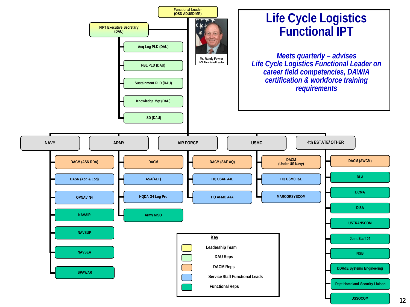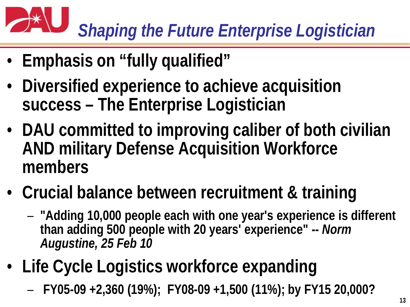# *Shaping the Future Enterprise Logistician*

- **Emphasis on "fully qualified"**
- **Diversified experience to achieve acquisition success – The Enterprise Logistician**
- **DAU committed to improving caliber of both civilian AND military Defense Acquisition Workforce members**
- **Crucial balance between recruitment & training**
	- **"Adding 10,000 people each with one year's experience is different than adding 500 people with 20 years' experience" --** *Norm Augustine, 25 Feb 10*
- **Life Cycle Logistics workforce expanding**
	- **FY05-09 +2,360 (19%); FY08-09 +1,500 (11%); by FY15 20,000?**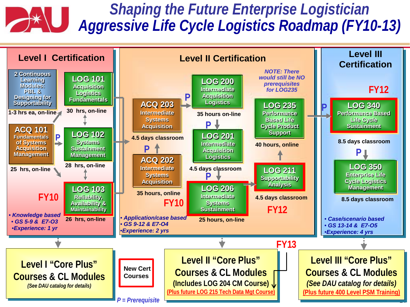#### *Shaping the Future Enterprise Logistician*  $\rightarrow \infty$ *Aggressive Life Cycle Logistics Roadmap (FY10-13)*

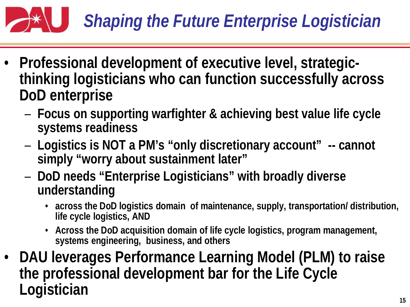

- **Professional development of executive level, strategicthinking logisticians who can function successfully across DoD enterprise**
	- **Focus on supporting warfighter & achieving best value life cycle systems readiness**
	- **Logistics is NOT a PM's "only discretionary account" -- cannot simply "worry about sustainment later"**
	- **DoD needs "Enterprise Logisticians" with broadly diverse understanding**
		- **across the DoD logistics domain of maintenance, supply, transportation/ distribution, life cycle logistics, AND**
		- **Across the DoD acquisition domain of life cycle logistics, program management, systems engineering, business, and others**
- **DAU leverages Performance Learning Model (PLM) to raise the professional development bar for the Life Cycle Logistician**